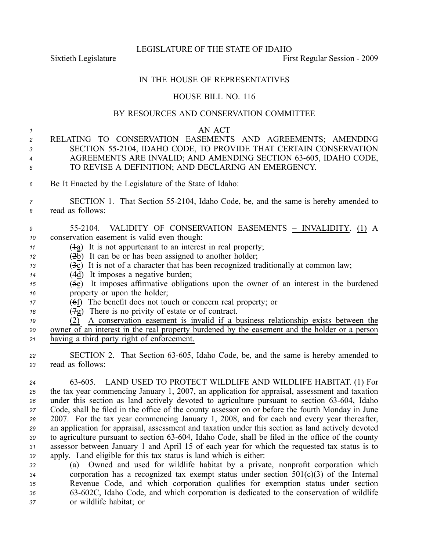LEGISLATURE OF THE STATE OF IDAHO

Sixtieth Legislature **First** Regular Session - 2009

### IN THE HOUSE OF REPRESENTATIVES

# HOUSE BILL NO. 116

#### BY RESOURCES AND CONSERVATION COMMITTEE

# *1* AN ACT

- *<sup>2</sup>* RELATING TO CONSERVATION EASEMENTS AND AGREEMENTS; AMENDING *<sup>3</sup>* SECTION 552104, IDAHO CODE, TO PROVIDE THAT CERTAIN CONSERVATION 4 AGREEMENTS ARE INVALID; AND AMENDING SECTION 63-605, IDAHO CODE, *<sup>5</sup>* TO REVISE A DEFINITION; AND DECLARING AN EMERGENCY.
- *<sup>6</sup>* Be It Enacted by the Legislature of the State of Idaho:

## *<sup>7</sup>* SECTION 1. That Section 552104, Idaho Code, be, and the same is hereby amended to *<sup>8</sup>* read as follows:

| 9 |                                                       |  |  |                                                                                                                                                                                                                                |  | 55-2104. VALIDITY OF CONSERVATION EASEMENTS - INVALIDITY. (1) A |  |
|---|-------------------------------------------------------|--|--|--------------------------------------------------------------------------------------------------------------------------------------------------------------------------------------------------------------------------------|--|-----------------------------------------------------------------|--|
|   | <i>to</i> conservation easement is valid even though: |  |  |                                                                                                                                                                                                                                |  |                                                                 |  |
|   |                                                       |  |  | $\sim$ (1) The contract of the contract of the contract of the contract of the contract of the contract of the contract of the contract of the contract of the contract of the contract of the contract of the contract of the |  |                                                                 |  |

- *<sup>11</sup>* (1a) It is not appurtenant to an interest in real property;
- *<sup>12</sup>* (2b) It can be or has been assigned to another holder;
- *<sup>13</sup>* (3c) It is not of <sup>a</sup> character that has been recognized traditionally at common law;
- *<sup>14</sup>* (4d) It imposes <sup>a</sup> negative burden;
- $\overline{5e}$  It imposes affirmative obligations upon the owner of an interest in the burdened *<sup>16</sup>* property or upon the holder;
- *<sup>17</sup>* (6f) The benefit does not touch or concern real property; or
- *<sup>18</sup>* (7g) There is no privity of estate or of contract.
- *<sup>19</sup>* (2) A conservation easement is invalid if <sup>a</sup> business relationship exists between the *<sup>20</sup>* owner of an interest in the real property burdened by the easement and the holder or <sup>a</sup> person *<sup>21</sup>* having <sup>a</sup> third party right of enforcement.
- 22 SECTION 2. That Section 63-605, Idaho Code, be, and the same is hereby amended to *<sup>23</sup>* read as follows:
- *<sup>24</sup>* 63605. LAND USED TO PROTECT WILDLIFE AND WILDLIFE HABITAT. (1) For *<sup>25</sup>* the tax year commencing January 1, 2007, an application for appraisal, assessment and taxation 26 under this section as land actively devoted to agriculture pursuant to section 63-604, Idaho *<sup>27</sup>* Code, shall be filed in the office of the county assessor on or before the fourth Monday in June *<sup>28</sup>* 2007. For the tax year commencing January 1, 2008, and for each and every year thereafter, *<sup>29</sup>* an application for appraisal, assessment and taxation under this section as land actively devoted 30 to agriculture pursuant to section 63-604, Idaho Code, shall be filed in the office of the county *<sup>31</sup>* assessor between January 1 and April 15 of each year for which the requested tax status is to *<sup>32</sup>* apply. Land eligible for this tax status is land which is either:
- *<sup>33</sup>* (a) Owned and used for wildlife habitat by <sup>a</sup> private, nonprofit corporation which *<sup>34</sup>* corporation has <sup>a</sup> recognized tax exemp<sup>t</sup> status under section 501(c)(3) of the Internal *<sup>35</sup>* Revenue Code, and which corporation qualifies for exemption status under section *<sup>36</sup>* 63602C, Idaho Code, and which corporation is dedicated to the conservation of wildlife *<sup>37</sup>* or wildlife habitat; or